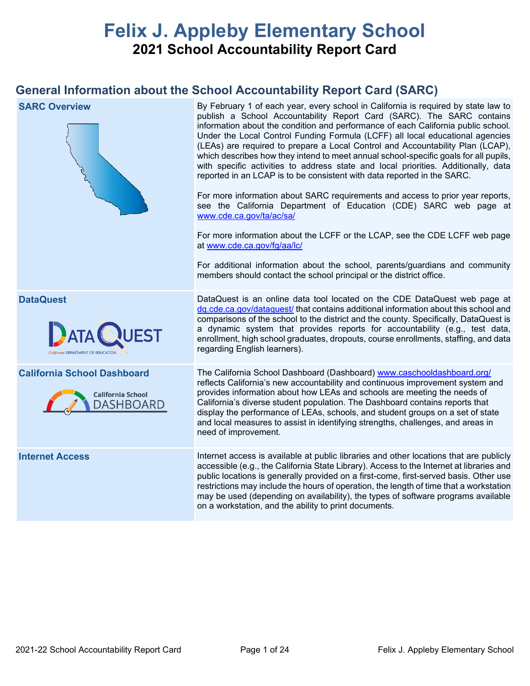# **Felix J. Appleby Elementary School 2021 School Accountability Report Card**

## **General Information about the School Accountability Report Card (SARC)**

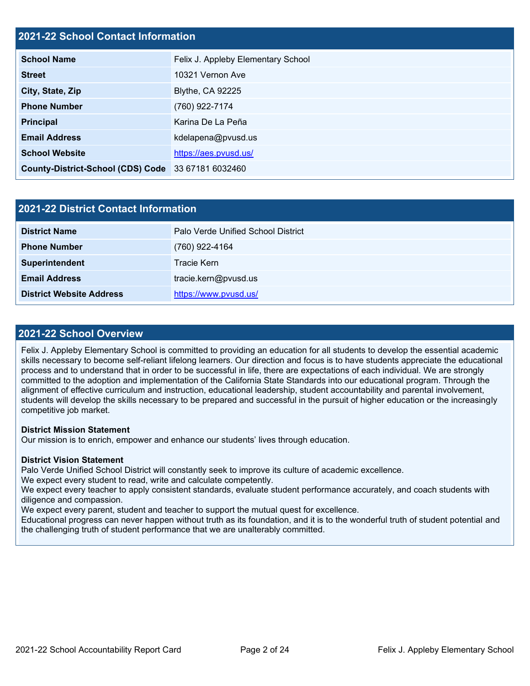## **2021-22 School Contact Information**

| <b>School Name</b>                                 | Felix J. Appleby Elementary School |  |  |  |
|----------------------------------------------------|------------------------------------|--|--|--|
| <b>Street</b>                                      | 10321 Vernon Ave                   |  |  |  |
| City, State, Zip                                   | <b>Blythe, CA 92225</b>            |  |  |  |
| <b>Phone Number</b>                                | (760) 922-7174                     |  |  |  |
| <b>Principal</b>                                   | Karina De La Peña                  |  |  |  |
| <b>Email Address</b>                               | kdelapena@pvusd.us                 |  |  |  |
| <b>School Website</b>                              | https://aes.pvusd.us/              |  |  |  |
| County-District-School (CDS) Code 33 67181 6032460 |                                    |  |  |  |

| <b>2021-22 District Contact Information</b> |                                    |  |  |  |
|---------------------------------------------|------------------------------------|--|--|--|
| <b>District Name</b>                        | Palo Verde Unified School District |  |  |  |
| <b>Phone Number</b>                         | (760) 922-4164                     |  |  |  |
| Superintendent                              | Tracie Kern                        |  |  |  |
| <b>Email Address</b>                        | tracie.kern@pvusd.us               |  |  |  |
| <b>District Website Address</b>             | https://www.pvusd.us/              |  |  |  |

### **2021-22 School Overview**

Felix J. Appleby Elementary School is committed to providing an education for all students to develop the essential academic skills necessary to become self-reliant lifelong learners. Our direction and focus is to have students appreciate the educational process and to understand that in order to be successful in life, there are expectations of each individual. We are strongly committed to the adoption and implementation of the California State Standards into our educational program. Through the alignment of effective curriculum and instruction, educational leadership, student accountability and parental involvement, students will develop the skills necessary to be prepared and successful in the pursuit of higher education or the increasingly competitive job market.

#### **District Mission Statement**

Our mission is to enrich, empower and enhance our students' lives through education.

#### **District Vision Statement**

Palo Verde Unified School District will constantly seek to improve its culture of academic excellence. We expect every student to read, write and calculate competently.

We expect every teacher to apply consistent standards, evaluate student performance accurately, and coach students with diligence and compassion.

We expect every parent, student and teacher to support the mutual quest for excellence.

Educational progress can never happen without truth as its foundation, and it is to the wonderful truth of student potential and the challenging truth of student performance that we are unalterably committed.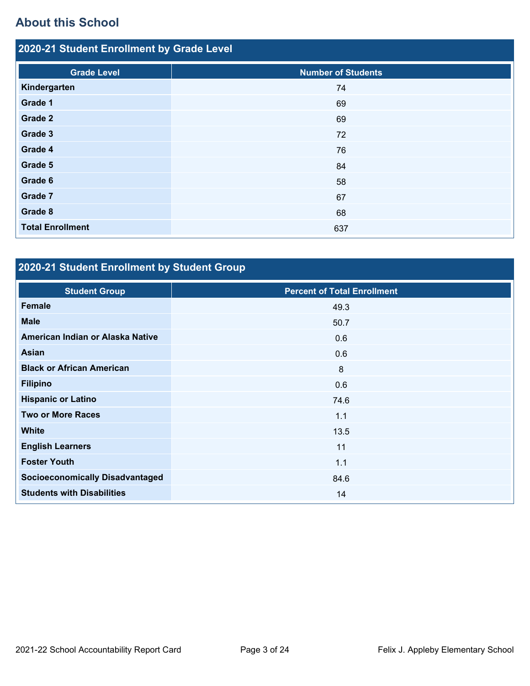## **About this School**

| 2020-21 Student Enrollment by Grade Level |                           |  |  |  |  |
|-------------------------------------------|---------------------------|--|--|--|--|
| <b>Grade Level</b>                        | <b>Number of Students</b> |  |  |  |  |
| Kindergarten                              | 74                        |  |  |  |  |
| Grade 1                                   | 69                        |  |  |  |  |
| Grade 2                                   | 69                        |  |  |  |  |
| Grade 3                                   | 72                        |  |  |  |  |
| Grade 4                                   | 76                        |  |  |  |  |
| Grade 5                                   | 84                        |  |  |  |  |
| Grade 6                                   | 58                        |  |  |  |  |
| Grade 7                                   | 67                        |  |  |  |  |
| Grade 8                                   | 68                        |  |  |  |  |
| <b>Total Enrollment</b>                   | 637                       |  |  |  |  |

# **2020-21 Student Enrollment by Student Group**

| <b>Student Group</b>                   | <b>Percent of Total Enrollment</b> |
|----------------------------------------|------------------------------------|
| Female                                 | 49.3                               |
| <b>Male</b>                            | 50.7                               |
| American Indian or Alaska Native       | 0.6                                |
| <b>Asian</b>                           | 0.6                                |
| <b>Black or African American</b>       | 8                                  |
| <b>Filipino</b>                        | 0.6                                |
| <b>Hispanic or Latino</b>              | 74.6                               |
| <b>Two or More Races</b>               | 1.1                                |
| <b>White</b>                           | 13.5                               |
| <b>English Learners</b>                | 11                                 |
| <b>Foster Youth</b>                    | 1.1                                |
| <b>Socioeconomically Disadvantaged</b> | 84.6                               |
| <b>Students with Disabilities</b>      | 14                                 |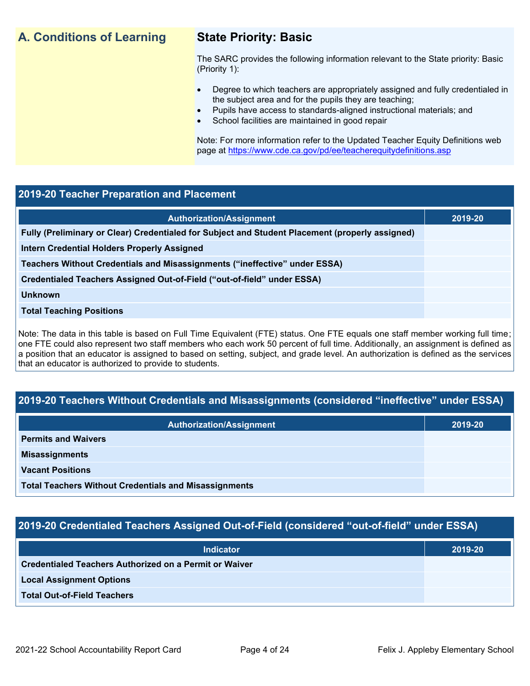## **A. Conditions of Learning State Priority: Basic**

The SARC provides the following information relevant to the State priority: Basic (Priority 1):

- Degree to which teachers are appropriately assigned and fully credentialed in the subject area and for the pupils they are teaching;
	- Pupils have access to standards-aligned instructional materials; and
- School facilities are maintained in good repair

Note: For more information refer to the Updated Teacher Equity Definitions web page at<https://www.cde.ca.gov/pd/ee/teacherequitydefinitions.asp>

## **2019-20 Teacher Preparation and Placement**

| <b>Authorization/Assignment</b>                                                                 | 2019-20 |
|-------------------------------------------------------------------------------------------------|---------|
| Fully (Preliminary or Clear) Credentialed for Subject and Student Placement (properly assigned) |         |
| <b>Intern Credential Holders Properly Assigned</b>                                              |         |
| Teachers Without Credentials and Misassignments ("ineffective" under ESSA)                      |         |
| Credentialed Teachers Assigned Out-of-Field ("out-of-field" under ESSA)                         |         |
| <b>Unknown</b>                                                                                  |         |
| <b>Total Teaching Positions</b>                                                                 |         |
|                                                                                                 |         |

Note: The data in this table is based on Full Time Equivalent (FTE) status. One FTE equals one staff member working full time; one FTE could also represent two staff members who each work 50 percent of full time. Additionally, an assignment is defined as a position that an educator is assigned to based on setting, subject, and grade level. An authorization is defined as the services that an educator is authorized to provide to students.

## **2019-20 Teachers Without Credentials and Misassignments (considered "ineffective" under ESSA)**

| <b>Authorization/Assignment</b>                              | 2019-20 |  |  |
|--------------------------------------------------------------|---------|--|--|
| <b>Permits and Waivers</b>                                   |         |  |  |
| <b>Misassignments</b>                                        |         |  |  |
| <b>Vacant Positions</b>                                      |         |  |  |
| <b>Total Teachers Without Credentials and Misassignments</b> |         |  |  |

## **2019-20 Credentialed Teachers Assigned Out-of-Field (considered "out-of-field" under ESSA)**

| <b>Indicator</b>                                       | 2019-20 |
|--------------------------------------------------------|---------|
| Credentialed Teachers Authorized on a Permit or Waiver |         |
| <b>Local Assignment Options</b>                        |         |
| <b>Total Out-of-Field Teachers</b>                     |         |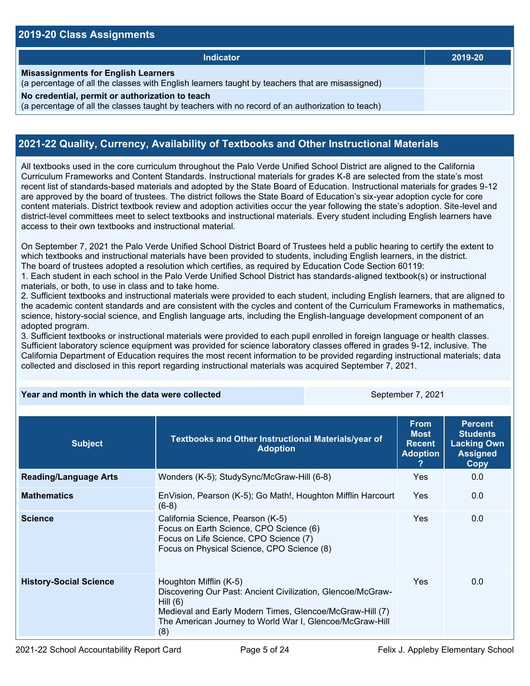## **2019-20 Class Assignments**

| <b>Indicator</b>                                                                                                                                    | 2019-20 |
|-----------------------------------------------------------------------------------------------------------------------------------------------------|---------|
| <b>Misassignments for English Learners</b><br>(a percentage of all the classes with English learners taught by teachers that are misassigned)       |         |
| No credential, permit or authorization to teach<br>(a percentage of all the classes taught by teachers with no record of an authorization to teach) |         |

## **2021-22 Quality, Currency, Availability of Textbooks and Other Instructional Materials**

All textbooks used in the core curriculum throughout the Palo Verde Unified School District are aligned to the California Curriculum Frameworks and Content Standards. Instructional materials for grades K-8 are selected from the state's most recent list of standards-based materials and adopted by the State Board of Education. Instructional materials for grades 9-12 are approved by the board of trustees. The district follows the State Board of Education's six-year adoption cycle for core content materials. District textbook review and adoption activities occur the year following the state's adoption. Site-level and district-level committees meet to select textbooks and instructional materials. Every student including English learners have access to their own textbooks and instructional material.

On September 7, 2021 the Palo Verde Unified School District Board of Trustees held a public hearing to certify the extent to which textbooks and instructional materials have been provided to students, including English learners, in the district. The board of trustees adopted a resolution which certifies, as required by Education Code Section 60119:

1. Each student in each school in the Palo Verde Unified School District has standards-aligned textbook(s) or instructional materials, or both, to use in class and to take home.

2. Sufficient textbooks and instructional materials were provided to each student, including English learners, that are aligned to the academic content standards and are consistent with the cycles and content of the Curriculum Frameworks in mathematics, science, history-social science, and English language arts, including the English-language development component of an adopted program.

3. Sufficient textbooks or instructional materials were provided to each pupil enrolled in foreign language or health classes. Sufficient laboratory science equipment was provided for science laboratory classes offered in grades 9-12, inclusive. The California Department of Education requires the most recent information to be provided regarding instructional materials; data collected and disclosed in this report regarding instructional materials was acquired September 7, 2021.

#### **Year and month in which the data were collected September 7, 2021**

| <b>Subject</b>                | Textbooks and Other Instructional Materials/year of<br><b>Adoption</b>                                                                                                                                                             | <b>From</b><br><b>Most</b><br><b>Recent</b><br><b>Adoption</b> | <b>Percent</b><br><b>Students</b><br><b>Lacking Own</b><br><b>Assigned</b><br><b>Copy</b> |
|-------------------------------|------------------------------------------------------------------------------------------------------------------------------------------------------------------------------------------------------------------------------------|----------------------------------------------------------------|-------------------------------------------------------------------------------------------|
| <b>Reading/Language Arts</b>  | Wonders (K-5); StudySync/McGraw-Hill (6-8)                                                                                                                                                                                         | Yes                                                            | 0.0                                                                                       |
| <b>Mathematics</b>            | EnVision, Pearson (K-5); Go Math!, Houghton Mifflin Harcourt<br>$(6-8)$                                                                                                                                                            | <b>Yes</b>                                                     | 0.0                                                                                       |
| <b>Science</b>                | California Science, Pearson (K-5)<br>Focus on Earth Science, CPO Science (6)<br>Focus on Life Science, CPO Science (7)<br>Focus on Physical Science, CPO Science (8)                                                               | <b>Yes</b>                                                     | 0.0 <sub>1</sub>                                                                          |
| <b>History-Social Science</b> | Houghton Mifflin (K-5)<br>Discovering Our Past: Ancient Civilization, Glencoe/McGraw-<br>Hill $(6)$<br>Medieval and Early Modern Times, Glencoe/McGraw-Hill (7)<br>The American Journey to World War I, Glencoe/McGraw-Hill<br>(8) | <b>Yes</b>                                                     | 0.0                                                                                       |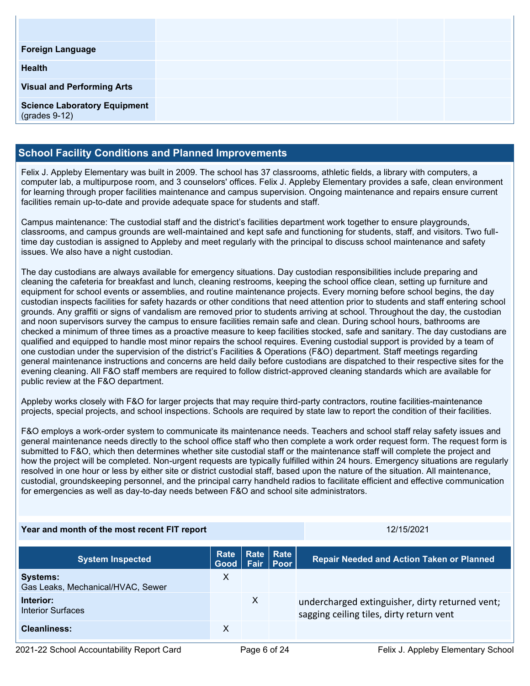| <b>Foreign Language</b>                                |  |
|--------------------------------------------------------|--|
| <b>Health</b>                                          |  |
| <b>Visual and Performing Arts</b>                      |  |
| <b>Science Laboratory Equipment</b><br>$(grades 9-12)$ |  |

## **School Facility Conditions and Planned Improvements**

Felix J. Appleby Elementary was built in 2009. The school has 37 classrooms, athletic fields, a library with computers, a computer lab, a multipurpose room, and 3 counselors' offices. Felix J. Appleby Elementary provides a safe, clean environment for learning through proper facilities maintenance and campus supervision. Ongoing maintenance and repairs ensure current facilities remain up-to-date and provide adequate space for students and staff.

Campus maintenance: The custodial staff and the district's facilities department work together to ensure playgrounds, classrooms, and campus grounds are well-maintained and kept safe and functioning for students, staff, and visitors. Two fulltime day custodian is assigned to Appleby and meet regularly with the principal to discuss school maintenance and safety issues. We also have a night custodian.

The day custodians are always available for emergency situations. Day custodian responsibilities include preparing and cleaning the cafeteria for breakfast and lunch, cleaning restrooms, keeping the school office clean, setting up furniture and equipment for school events or assemblies, and routine maintenance projects. Every morning before school begins, the day custodian inspects facilities for safety hazards or other conditions that need attention prior to students and staff entering school grounds. Any graffiti or signs of vandalism are removed prior to students arriving at school. Throughout the day, the custodian and noon supervisors survey the campus to ensure facilities remain safe and clean. During school hours, bathrooms are checked a minimum of three times as a proactive measure to keep facilities stocked, safe and sanitary. The day custodians are qualified and equipped to handle most minor repairs the school requires. Evening custodial support is provided by a team of one custodian under the supervision of the district's Facilities & Operations (F&O) department. Staff meetings regarding general maintenance instructions and concerns are held daily before custodians are dispatched to their respective sites for the evening cleaning. All F&O staff members are required to follow district-approved cleaning standards which are available for public review at the F&O department.

Appleby works closely with F&O for larger projects that may require third-party contractors, routine facilities-maintenance projects, special projects, and school inspections. Schools are required by state law to report the condition of their facilities.

F&O employs a work-order system to communicate its maintenance needs. Teachers and school staff relay safety issues and general maintenance needs directly to the school office staff who then complete a work order request form. The request form is submitted to F&O, which then determines whether site custodial staff or the maintenance staff will complete the project and how the project will be completed. Non-urgent requests are typically fulfilled within 24 hours. Emergency situations are regularly resolved in one hour or less by either site or district custodial staff, based upon the nature of the situation. All maintenance, custodial, groundskeeping personnel, and the principal carry handheld radios to facilitate efficient and effective communication for emergencies as well as day-to-day needs between F&O and school site administrators.

### **Year and month of the most recent FIT report** 12011 12/15/2021

| <b>System Inspected</b>                              | Rate<br>Good |              | Rate Rate<br><b>Fair Poor</b> | <b>Repair Needed and Action Taken or Planned</b>                                            |
|------------------------------------------------------|--------------|--------------|-------------------------------|---------------------------------------------------------------------------------------------|
| <b>Systems:</b><br>Gas Leaks, Mechanical/HVAC, Sewer | Х            |              |                               |                                                                                             |
| Interior:<br>Interior Surfaces                       |              | $\mathsf{X}$ |                               | undercharged extinguisher, dirty returned vent;<br>sagging ceiling tiles, dirty return vent |
| <b>Cleanliness:</b>                                  | х            |              |                               |                                                                                             |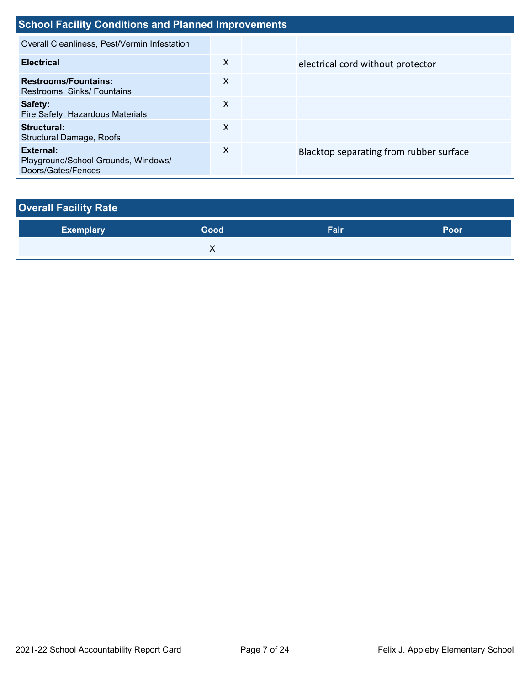| <b>School Facility Conditions and Planned Improvements</b>             |                           |  |                                         |  |  |
|------------------------------------------------------------------------|---------------------------|--|-----------------------------------------|--|--|
| Overall Cleanliness, Pest/Vermin Infestation                           |                           |  |                                         |  |  |
| <b>Electrical</b>                                                      | X                         |  | electrical cord without protector       |  |  |
| <b>Restrooms/Fountains:</b><br>Restrooms, Sinks/ Fountains             | $\times$                  |  |                                         |  |  |
| Safety:<br>Fire Safety, Hazardous Materials                            | X                         |  |                                         |  |  |
| Structural:<br>Structural Damage, Roofs                                | X                         |  |                                         |  |  |
| External:<br>Playground/School Grounds, Windows/<br>Doors/Gates/Fences | $\boldsymbol{\mathsf{X}}$ |  | Blacktop separating from rubber surface |  |  |

# **Overall Facility Rate**

| <b>Exemplary</b> | Good | Fair | Poor |
|------------------|------|------|------|
|                  | . .  |      |      |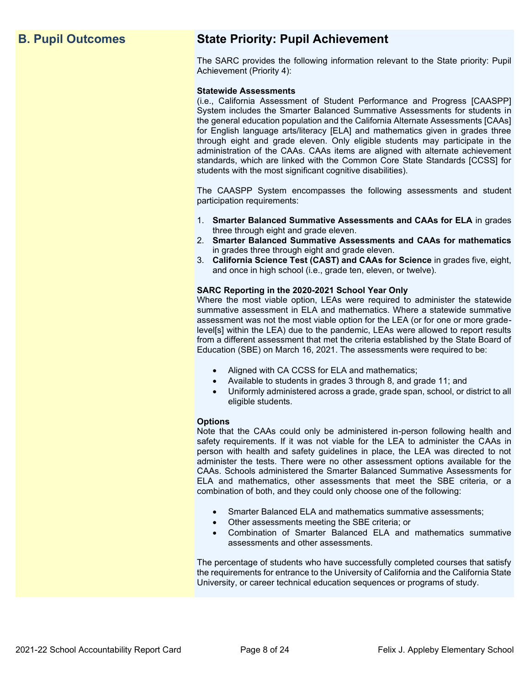## **B. Pupil Outcomes State Priority: Pupil Achievement**

The SARC provides the following information relevant to the State priority: Pupil Achievement (Priority 4):

#### **Statewide Assessments**

(i.e., California Assessment of Student Performance and Progress [CAASPP] System includes the Smarter Balanced Summative Assessments for students in the general education population and the California Alternate Assessments [CAAs] for English language arts/literacy [ELA] and mathematics given in grades three through eight and grade eleven. Only eligible students may participate in the administration of the CAAs. CAAs items are aligned with alternate achievement standards, which are linked with the Common Core State Standards [CCSS] for students with the most significant cognitive disabilities).

The CAASPP System encompasses the following assessments and student participation requirements:

- 1. **Smarter Balanced Summative Assessments and CAAs for ELA** in grades three through eight and grade eleven.
- 2. **Smarter Balanced Summative Assessments and CAAs for mathematics** in grades three through eight and grade eleven.
- 3. **California Science Test (CAST) and CAAs for Science** in grades five, eight, and once in high school (i.e., grade ten, eleven, or twelve).

#### **SARC Reporting in the 2020-2021 School Year Only**

Where the most viable option, LEAs were required to administer the statewide summative assessment in ELA and mathematics. Where a statewide summative assessment was not the most viable option for the LEA (or for one or more gradelevel[s] within the LEA) due to the pandemic, LEAs were allowed to report results from a different assessment that met the criteria established by the State Board of Education (SBE) on March 16, 2021. The assessments were required to be:

- Aligned with CA CCSS for ELA and mathematics;
- Available to students in grades 3 through 8, and grade 11; and
- Uniformly administered across a grade, grade span, school, or district to all eligible students.

#### **Options**

Note that the CAAs could only be administered in-person following health and safety requirements. If it was not viable for the LEA to administer the CAAs in person with health and safety guidelines in place, the LEA was directed to not administer the tests. There were no other assessment options available for the CAAs. Schools administered the Smarter Balanced Summative Assessments for ELA and mathematics, other assessments that meet the SBE criteria, or a combination of both, and they could only choose one of the following:

- Smarter Balanced ELA and mathematics summative assessments;
- Other assessments meeting the SBE criteria; or
- Combination of Smarter Balanced ELA and mathematics summative assessments and other assessments.

The percentage of students who have successfully completed courses that satisfy the requirements for entrance to the University of California and the California State University, or career technical education sequences or programs of study.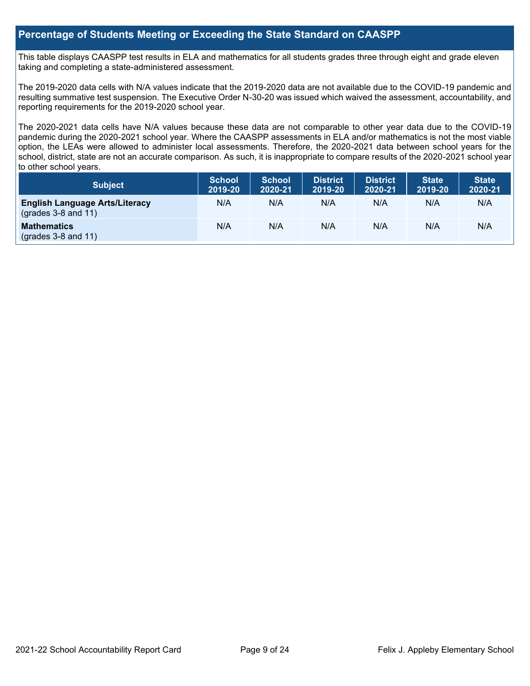## **Percentage of Students Meeting or Exceeding the State Standard on CAASPP**

This table displays CAASPP test results in ELA and mathematics for all students grades three through eight and grade eleven taking and completing a state-administered assessment.

The 2019-2020 data cells with N/A values indicate that the 2019-2020 data are not available due to the COVID-19 pandemic and resulting summative test suspension. The Executive Order N-30-20 was issued which waived the assessment, accountability, and reporting requirements for the 2019-2020 school year.

The 2020-2021 data cells have N/A values because these data are not comparable to other year data due to the COVID-19 pandemic during the 2020-2021 school year. Where the CAASPP assessments in ELA and/or mathematics is not the most viable option, the LEAs were allowed to administer local assessments. Therefore, the 2020-2021 data between school years for the school, district, state are not an accurate comparison. As such, it is inappropriate to compare results of the 2020-2021 school year to other school years.

| Subject                                                              | <b>School</b><br>2019-20 | <b>School</b><br>2020-21 | <b>District</b><br>2019-20 | <b>District</b><br>2020-21 | <b>State</b><br>2019-20 | <b>State</b><br>2020-21 |
|----------------------------------------------------------------------|--------------------------|--------------------------|----------------------------|----------------------------|-------------------------|-------------------------|
| <b>English Language Arts/Literacy</b><br>$\left($ grades 3-8 and 11) | N/A                      | N/A                      | N/A                        | N/A                        | N/A                     | N/A                     |
| <b>Mathematics</b><br>$(grades 3-8 and 11)$                          | N/A                      | N/A                      | N/A                        | N/A                        | N/A                     | N/A                     |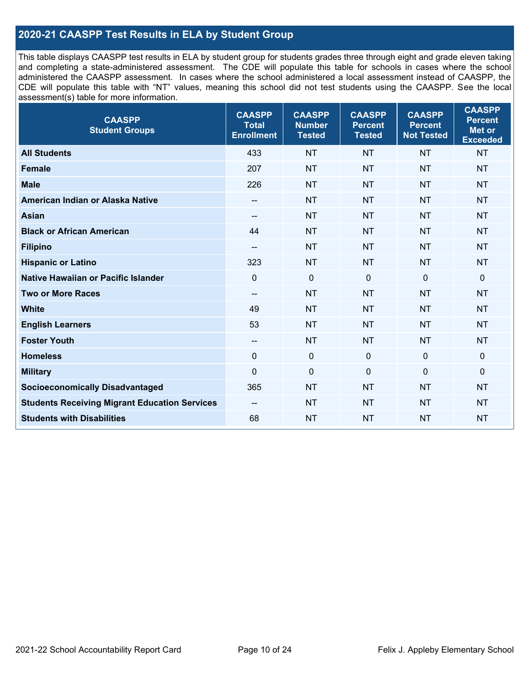## **2020-21 CAASPP Test Results in ELA by Student Group**

This table displays CAASPP test results in ELA by student group for students grades three through eight and grade eleven taking and completing a state-administered assessment. The CDE will populate this table for schools in cases where the school administered the CAASPP assessment. In cases where the school administered a local assessment instead of CAASPP, the CDE will populate this table with "NT" values, meaning this school did not test students using the CAASPP. See the local assessment(s) table for more information.

| <b>CAASPP</b><br><b>Student Groups</b>               | <b>CAASPP</b><br><b>Total</b><br><b>Enrollment</b> | <b>CAASPP</b><br><b>Number</b><br><b>Tested</b> | <b>CAASPP</b><br><b>Percent</b><br><b>Tested</b> | <b>CAASPP</b><br><b>Percent</b><br><b>Not Tested</b> | <b>CAASPP</b><br><b>Percent</b><br><b>Met or</b><br><b>Exceeded</b> |
|------------------------------------------------------|----------------------------------------------------|-------------------------------------------------|--------------------------------------------------|------------------------------------------------------|---------------------------------------------------------------------|
| <b>All Students</b>                                  | 433                                                | <b>NT</b>                                       | <b>NT</b>                                        | <b>NT</b>                                            | <b>NT</b>                                                           |
| <b>Female</b>                                        | 207                                                | <b>NT</b>                                       | <b>NT</b>                                        | <b>NT</b>                                            | <b>NT</b>                                                           |
| <b>Male</b>                                          | 226                                                | <b>NT</b>                                       | <b>NT</b>                                        | <b>NT</b>                                            | <b>NT</b>                                                           |
| American Indian or Alaska Native                     | $- -$                                              | <b>NT</b>                                       | <b>NT</b>                                        | <b>NT</b>                                            | <b>NT</b>                                                           |
| <b>Asian</b>                                         |                                                    | <b>NT</b>                                       | <b>NT</b>                                        | <b>NT</b>                                            | <b>NT</b>                                                           |
| <b>Black or African American</b>                     | 44                                                 | <b>NT</b>                                       | <b>NT</b>                                        | <b>NT</b>                                            | <b>NT</b>                                                           |
| <b>Filipino</b>                                      | $\overline{\phantom{a}}$                           | <b>NT</b>                                       | <b>NT</b>                                        | <b>NT</b>                                            | <b>NT</b>                                                           |
| <b>Hispanic or Latino</b>                            | 323                                                | <b>NT</b>                                       | <b>NT</b>                                        | <b>NT</b>                                            | <b>NT</b>                                                           |
| Native Hawaiian or Pacific Islander                  | $\mathbf 0$                                        | $\mathbf 0$                                     | $\mathbf 0$                                      | $\mathbf 0$                                          | $\mathbf 0$                                                         |
| <b>Two or More Races</b>                             | --                                                 | <b>NT</b>                                       | <b>NT</b>                                        | <b>NT</b>                                            | <b>NT</b>                                                           |
| <b>White</b>                                         | 49                                                 | <b>NT</b>                                       | <b>NT</b>                                        | <b>NT</b>                                            | <b>NT</b>                                                           |
| <b>English Learners</b>                              | 53                                                 | <b>NT</b>                                       | <b>NT</b>                                        | <b>NT</b>                                            | <b>NT</b>                                                           |
| <b>Foster Youth</b>                                  | $\overline{\phantom{a}}$                           | <b>NT</b>                                       | <b>NT</b>                                        | <b>NT</b>                                            | <b>NT</b>                                                           |
| <b>Homeless</b>                                      | $\Omega$                                           | $\pmb{0}$                                       | $\mathbf 0$                                      | $\mathbf 0$                                          | 0                                                                   |
| <b>Military</b>                                      | $\mathbf 0$                                        | $\pmb{0}$                                       | 0                                                | $\mathbf 0$                                          | 0                                                                   |
| <b>Socioeconomically Disadvantaged</b>               | 365                                                | <b>NT</b>                                       | <b>NT</b>                                        | <b>NT</b>                                            | <b>NT</b>                                                           |
| <b>Students Receiving Migrant Education Services</b> | $-$                                                | <b>NT</b>                                       | <b>NT</b>                                        | <b>NT</b>                                            | NT                                                                  |
| <b>Students with Disabilities</b>                    | 68                                                 | <b>NT</b>                                       | <b>NT</b>                                        | <b>NT</b>                                            | <b>NT</b>                                                           |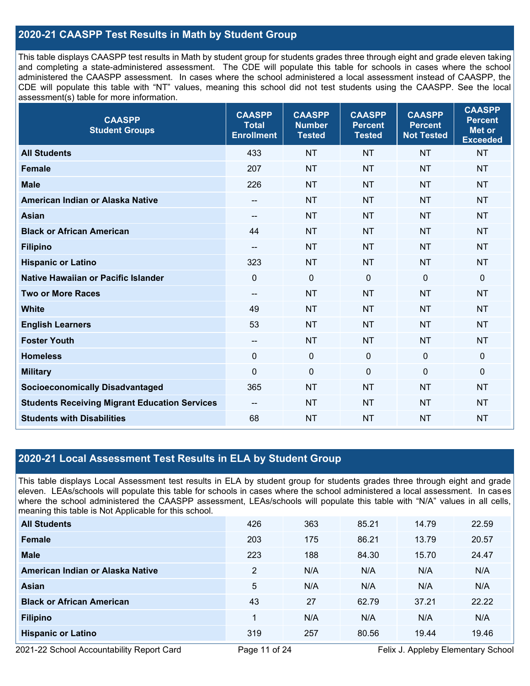## **2020-21 CAASPP Test Results in Math by Student Group**

This table displays CAASPP test results in Math by student group for students grades three through eight and grade eleven taking and completing a state-administered assessment. The CDE will populate this table for schools in cases where the school administered the CAASPP assessment. In cases where the school administered a local assessment instead of CAASPP, the CDE will populate this table with "NT" values, meaning this school did not test students using the CAASPP. See the local assessment(s) table for more information.

| <b>CAASPP</b><br><b>Student Groups</b>               | <b>CAASPP</b><br><b>Total</b><br><b>Enrollment</b> | <b>CAASPP</b><br><b>Number</b><br><b>Tested</b> | <b>CAASPP</b><br><b>Percent</b><br><b>Tested</b> | <b>CAASPP</b><br><b>Percent</b><br><b>Not Tested</b> | <b>CAASPP</b><br><b>Percent</b><br><b>Met or</b><br><b>Exceeded</b> |
|------------------------------------------------------|----------------------------------------------------|-------------------------------------------------|--------------------------------------------------|------------------------------------------------------|---------------------------------------------------------------------|
| <b>All Students</b>                                  | 433                                                | <b>NT</b>                                       | <b>NT</b>                                        | <b>NT</b>                                            | <b>NT</b>                                                           |
| <b>Female</b>                                        | 207                                                | <b>NT</b>                                       | <b>NT</b>                                        | <b>NT</b>                                            | <b>NT</b>                                                           |
| <b>Male</b>                                          | 226                                                | <b>NT</b>                                       | <b>NT</b>                                        | <b>NT</b>                                            | <b>NT</b>                                                           |
| American Indian or Alaska Native                     | --                                                 | <b>NT</b>                                       | <b>NT</b>                                        | <b>NT</b>                                            | <b>NT</b>                                                           |
| <b>Asian</b>                                         | --                                                 | <b>NT</b>                                       | <b>NT</b>                                        | <b>NT</b>                                            | <b>NT</b>                                                           |
| <b>Black or African American</b>                     | 44                                                 | <b>NT</b>                                       | <b>NT</b>                                        | <b>NT</b>                                            | <b>NT</b>                                                           |
| <b>Filipino</b>                                      | $-$                                                | <b>NT</b>                                       | <b>NT</b>                                        | <b>NT</b>                                            | <b>NT</b>                                                           |
| <b>Hispanic or Latino</b>                            | 323                                                | <b>NT</b>                                       | <b>NT</b>                                        | <b>NT</b>                                            | <b>NT</b>                                                           |
| Native Hawaiian or Pacific Islander                  | $\mathbf 0$                                        | $\mathbf 0$                                     | $\mathbf 0$                                      | $\mathbf 0$                                          | $\mathbf 0$                                                         |
| <b>Two or More Races</b>                             | $-$                                                | <b>NT</b>                                       | <b>NT</b>                                        | <b>NT</b>                                            | <b>NT</b>                                                           |
| <b>White</b>                                         | 49                                                 | <b>NT</b>                                       | <b>NT</b>                                        | <b>NT</b>                                            | <b>NT</b>                                                           |
| <b>English Learners</b>                              | 53                                                 | <b>NT</b>                                       | <b>NT</b>                                        | <b>NT</b>                                            | <b>NT</b>                                                           |
| <b>Foster Youth</b>                                  | $\overline{\phantom{a}}$                           | <b>NT</b>                                       | <b>NT</b>                                        | <b>NT</b>                                            | <b>NT</b>                                                           |
| <b>Homeless</b>                                      | $\mathbf 0$                                        | $\mathbf 0$                                     | $\mathbf 0$                                      | $\mathbf 0$                                          | $\mathbf 0$                                                         |
| <b>Military</b>                                      | $\mathbf 0$                                        | $\pmb{0}$                                       | $\mathbf 0$                                      | $\mathbf 0$                                          | $\mathbf 0$                                                         |
| <b>Socioeconomically Disadvantaged</b>               | 365                                                | <b>NT</b>                                       | <b>NT</b>                                        | <b>NT</b>                                            | <b>NT</b>                                                           |
| <b>Students Receiving Migrant Education Services</b> | $- -$                                              | <b>NT</b>                                       | <b>NT</b>                                        | <b>NT</b>                                            | <b>NT</b>                                                           |
| <b>Students with Disabilities</b>                    | 68                                                 | <b>NT</b>                                       | <b>NT</b>                                        | <b>NT</b>                                            | <b>NT</b>                                                           |

## **2020-21 Local Assessment Test Results in ELA by Student Group**

This table displays Local Assessment test results in ELA by student group for students grades three through eight and grade eleven. LEAs/schools will populate this table for schools in cases where the school administered a local assessment. In cases where the school administered the CAASPP assessment, LEAs/schools will populate this table with "N/A" values in all cells, meaning this table is Not Applicable for this school.

| <b>All Students</b>              | 426            | 363 | 85.21 | 14.79 | 22.59 |
|----------------------------------|----------------|-----|-------|-------|-------|
| Female                           | 203            | 175 | 86.21 | 13.79 | 20.57 |
| <b>Male</b>                      | 223            | 188 | 84.30 | 15.70 | 24.47 |
| American Indian or Alaska Native | $\overline{2}$ | N/A | N/A   | N/A   | N/A   |
| <b>Asian</b>                     | 5              | N/A | N/A   | N/A   | N/A   |
| <b>Black or African American</b> | 43             | 27  | 62.79 | 37.21 | 22.22 |
| <b>Filipino</b>                  |                | N/A | N/A   | N/A   | N/A   |
| <b>Hispanic or Latino</b>        | 319            | 257 | 80.56 | 19.44 | 19.46 |

2021-22 School Accountability Report Card **Page 11 of 24** Felix J. Appleby Elementary School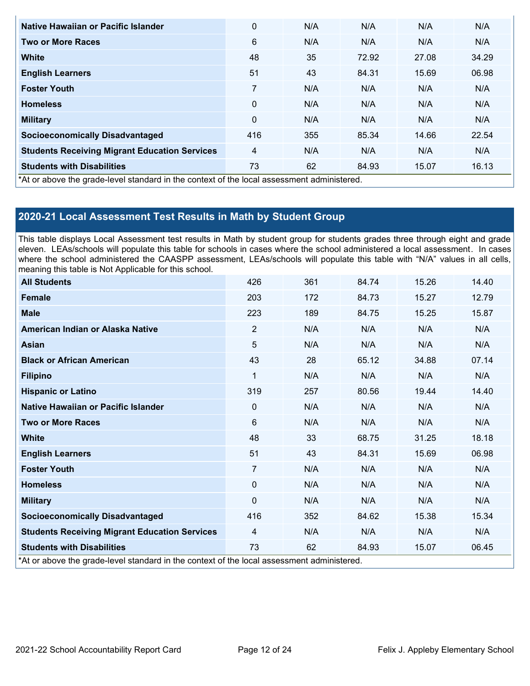| Native Hawaiian or Pacific Islander                                                        | 0        | N/A | N/A   | N/A   | N/A   |
|--------------------------------------------------------------------------------------------|----------|-----|-------|-------|-------|
| <b>Two or More Races</b>                                                                   | 6        | N/A | N/A   | N/A   | N/A   |
| <b>White</b>                                                                               | 48       | 35  | 72.92 | 27.08 | 34.29 |
| <b>English Learners</b>                                                                    | 51       | 43  | 84.31 | 15.69 | 06.98 |
| <b>Foster Youth</b>                                                                        | 7        | N/A | N/A   | N/A   | N/A   |
| <b>Homeless</b>                                                                            | $\Omega$ | N/A | N/A   | N/A   | N/A   |
| <b>Military</b>                                                                            | $\Omega$ | N/A | N/A   | N/A   | N/A   |
| <b>Socioeconomically Disadvantaged</b>                                                     | 416      | 355 | 85.34 | 14.66 | 22.54 |
| <b>Students Receiving Migrant Education Services</b>                                       | 4        | N/A | N/A   | N/A   | N/A   |
| <b>Students with Disabilities</b>                                                          | 73       | 62  | 84.93 | 15.07 | 16.13 |
| *At or above the grade-level standard in the context of the local assessment administered. |          |     |       |       |       |

## **2020-21 Local Assessment Test Results in Math by Student Group**

This table displays Local Assessment test results in Math by student group for students grades three through eight and grade eleven. LEAs/schools will populate this table for schools in cases where the school administered a local assessment. In cases where the school administered the CAASPP assessment, LEAs/schools will populate this table with "N/A" values in all cells, meaning this table is Not Applicable for this school.

| <b>All Students</b>                                                                        | 426            | 361 | 84.74 | 15.26 | 14.40 |
|--------------------------------------------------------------------------------------------|----------------|-----|-------|-------|-------|
| <b>Female</b>                                                                              | 203            | 172 | 84.73 | 15.27 | 12.79 |
| <b>Male</b>                                                                                | 223            | 189 | 84.75 | 15.25 | 15.87 |
| American Indian or Alaska Native                                                           | $\overline{2}$ | N/A | N/A   | N/A   | N/A   |
| <b>Asian</b>                                                                               | 5              | N/A | N/A   | N/A   | N/A   |
| <b>Black or African American</b>                                                           | 43             | 28  | 65.12 | 34.88 | 07.14 |
| <b>Filipino</b>                                                                            | 1              | N/A | N/A   | N/A   | N/A   |
| <b>Hispanic or Latino</b>                                                                  | 319            | 257 | 80.56 | 19.44 | 14.40 |
| Native Hawaiian or Pacific Islander                                                        | $\Omega$       | N/A | N/A   | N/A   | N/A   |
| <b>Two or More Races</b>                                                                   | 6              | N/A | N/A   | N/A   | N/A   |
| <b>White</b>                                                                               | 48             | 33  | 68.75 | 31.25 | 18.18 |
| <b>English Learners</b>                                                                    | 51             | 43  | 84.31 | 15.69 | 06.98 |
| <b>Foster Youth</b>                                                                        | 7              | N/A | N/A   | N/A   | N/A   |
| <b>Homeless</b>                                                                            | $\Omega$       | N/A | N/A   | N/A   | N/A   |
| <b>Military</b>                                                                            | $\Omega$       | N/A | N/A   | N/A   | N/A   |
| <b>Socioeconomically Disadvantaged</b>                                                     | 416            | 352 | 84.62 | 15.38 | 15.34 |
| <b>Students Receiving Migrant Education Services</b>                                       | 4              | N/A | N/A   | N/A   | N/A   |
| <b>Students with Disabilities</b>                                                          | 73             | 62  | 84.93 | 15.07 | 06.45 |
| *At or above the grade-level standard in the context of the local assessment administered. |                |     |       |       |       |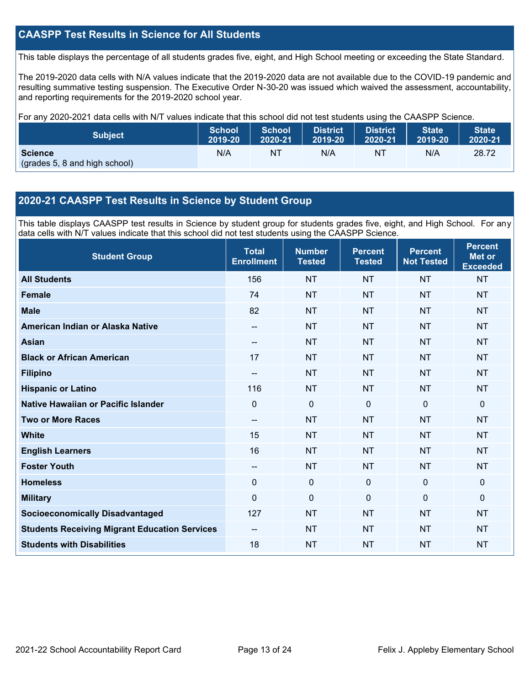## **CAASPP Test Results in Science for All Students**

This table displays the percentage of all students grades five, eight, and High School meeting or exceeding the State Standard.

The 2019-2020 data cells with N/A values indicate that the 2019-2020 data are not available due to the COVID-19 pandemic and resulting summative testing suspension. The Executive Order N-30-20 was issued which waived the assessment, accountability, and reporting requirements for the 2019-2020 school year.

For any 2020-2021 data cells with N/T values indicate that this school did not test students using the CAASPP Science.

| <b>Subject</b>                                  | <b>School</b> | <b>School</b> | <b>District</b> | District | <b>State</b> | <b>State</b> |
|-------------------------------------------------|---------------|---------------|-----------------|----------|--------------|--------------|
|                                                 | 2019-20       | 2020-21       | 2019-20         | 2020-21  | 2019-20      | 2020-21      |
| <b>Science</b><br>(grades 5, 8 and high school) | N/A           | ΝT            | N/A             | NT       | N/A          | 28.72        |

## **2020-21 CAASPP Test Results in Science by Student Group**

This table displays CAASPP test results in Science by student group for students grades five, eight, and High School. For any data cells with N/T values indicate that this school did not test students using the CAASPP Science.

| <b>Student Group</b>                                 | <b>Total</b><br><b>Enrollment</b> | <b>Number</b><br><b>Tested</b> | <b>Percent</b><br><b>Tested</b> | <b>Percent</b><br><b>Not Tested</b> | <b>Percent</b><br><b>Met or</b><br><b>Exceeded</b> |
|------------------------------------------------------|-----------------------------------|--------------------------------|---------------------------------|-------------------------------------|----------------------------------------------------|
| <b>All Students</b>                                  | 156                               | <b>NT</b>                      | <b>NT</b>                       | <b>NT</b>                           | <b>NT</b>                                          |
| <b>Female</b>                                        | 74                                | <b>NT</b>                      | <b>NT</b>                       | <b>NT</b>                           | <b>NT</b>                                          |
| <b>Male</b>                                          | 82                                | <b>NT</b>                      | <b>NT</b>                       | <b>NT</b>                           | <b>NT</b>                                          |
| American Indian or Alaska Native                     | $\sim$                            | <b>NT</b>                      | <b>NT</b>                       | <b>NT</b>                           | <b>NT</b>                                          |
| <b>Asian</b>                                         | --                                | <b>NT</b>                      | <b>NT</b>                       | <b>NT</b>                           | <b>NT</b>                                          |
| <b>Black or African American</b>                     | 17                                | <b>NT</b>                      | <b>NT</b>                       | <b>NT</b>                           | <b>NT</b>                                          |
| <b>Filipino</b>                                      | --                                | <b>NT</b>                      | <b>NT</b>                       | <b>NT</b>                           | <b>NT</b>                                          |
| <b>Hispanic or Latino</b>                            | 116                               | <b>NT</b>                      | <b>NT</b>                       | <b>NT</b>                           | <b>NT</b>                                          |
| Native Hawaiian or Pacific Islander                  | $\overline{0}$                    | $\mathbf 0$                    | $\mathbf 0$                     | $\overline{0}$                      | $\mathbf{0}$                                       |
| <b>Two or More Races</b>                             | --                                | <b>NT</b>                      | <b>NT</b>                       | <b>NT</b>                           | <b>NT</b>                                          |
| <b>White</b>                                         | 15                                | <b>NT</b>                      | <b>NT</b>                       | <b>NT</b>                           | <b>NT</b>                                          |
| <b>English Learners</b>                              | 16                                | <b>NT</b>                      | <b>NT</b>                       | <b>NT</b>                           | <b>NT</b>                                          |
| <b>Foster Youth</b>                                  | --                                | <b>NT</b>                      | <b>NT</b>                       | <b>NT</b>                           | <b>NT</b>                                          |
| <b>Homeless</b>                                      | 0                                 | $\mathbf 0$                    | $\mathbf 0$                     | 0                                   | $\mathbf 0$                                        |
| <b>Military</b>                                      | $\Omega$                          | 0                              | $\mathbf{0}$                    | $\Omega$                            | $\mathbf{0}$                                       |
| <b>Socioeconomically Disadvantaged</b>               | 127                               | <b>NT</b>                      | <b>NT</b>                       | <b>NT</b>                           | <b>NT</b>                                          |
| <b>Students Receiving Migrant Education Services</b> |                                   | <b>NT</b>                      | <b>NT</b>                       | <b>NT</b>                           | <b>NT</b>                                          |
| <b>Students with Disabilities</b>                    | 18                                | <b>NT</b>                      | <b>NT</b>                       | <b>NT</b>                           | <b>NT</b>                                          |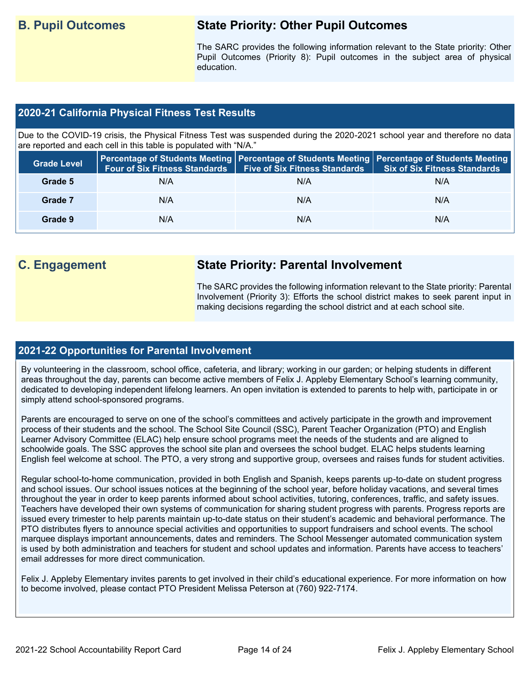## **B. Pupil Outcomes State Priority: Other Pupil Outcomes**

The SARC provides the following information relevant to the State priority: Other Pupil Outcomes (Priority 8): Pupil outcomes in the subject area of physical education.

## **2020-21 California Physical Fitness Test Results**

Due to the COVID-19 crisis, the Physical Fitness Test was suspended during the 2020-2021 school year and therefore no data are reported and each cell in this table is populated with "N/A."

| <b>Grade Level</b> | <b>Four of Six Fitness Standards</b> | <b>Five of Six Fitness Standards</b> | Percentage of Students Meeting   Percentage of Students Meeting   Percentage of Students Meeting<br><b>Six of Six Fitness Standards</b> |
|--------------------|--------------------------------------|--------------------------------------|-----------------------------------------------------------------------------------------------------------------------------------------|
| Grade 5            | N/A                                  | N/A                                  | N/A                                                                                                                                     |
| Grade 7            | N/A                                  | N/A                                  | N/A                                                                                                                                     |
| Grade 9            | N/A                                  | N/A                                  | N/A                                                                                                                                     |

## **C. Engagement State Priority: Parental Involvement**

The SARC provides the following information relevant to the State priority: Parental Involvement (Priority 3): Efforts the school district makes to seek parent input in making decisions regarding the school district and at each school site.

## **2021-22 Opportunities for Parental Involvement**

By volunteering in the classroom, school office, cafeteria, and library; working in our garden; or helping students in different areas throughout the day, parents can become active members of Felix J. Appleby Elementary School's learning community, dedicated to developing independent lifelong learners. An open invitation is extended to parents to help with, participate in or simply attend school-sponsored programs.

Parents are encouraged to serve on one of the school's committees and actively participate in the growth and improvement process of their students and the school. The School Site Council (SSC), Parent Teacher Organization (PTO) and English Learner Advisory Committee (ELAC) help ensure school programs meet the needs of the students and are aligned to schoolwide goals. The SSC approves the school site plan and oversees the school budget. ELAC helps students learning English feel welcome at school. The PTO, a very strong and supportive group, oversees and raises funds for student activities.

Regular school-to-home communication, provided in both English and Spanish, keeps parents up-to-date on student progress and school issues. Our school issues notices at the beginning of the school year, before holiday vacations, and several times throughout the year in order to keep parents informed about school activities, tutoring, conferences, traffic, and safety issues. Teachers have developed their own systems of communication for sharing student progress with parents. Progress reports are issued every trimester to help parents maintain up-to-date status on their student's academic and behavioral performance. The PTO distributes flyers to announce special activities and opportunities to support fundraisers and school events. The school marquee displays important announcements, dates and reminders. The School Messenger automated communication system is used by both administration and teachers for student and school updates and information. Parents have access to teachers' email addresses for more direct communication.

Felix J. Appleby Elementary invites parents to get involved in their child's educational experience. For more information on how to become involved, please contact PTO President Melissa Peterson at (760) 922-7174.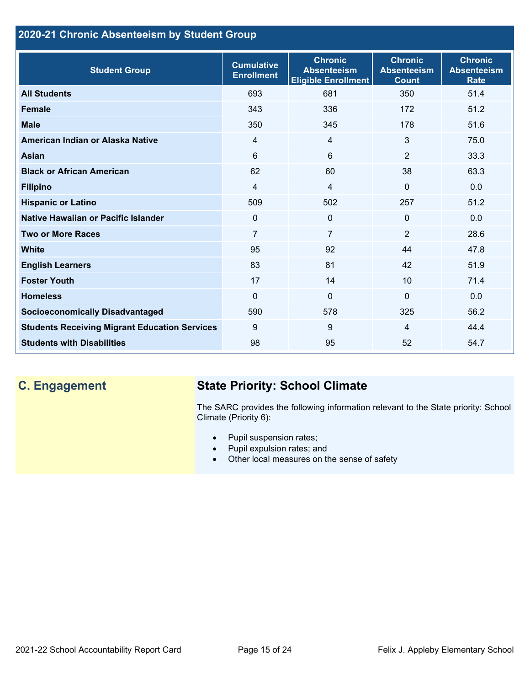## **2020-21 Chronic Absenteeism by Student Group**

| <b>Student Group</b>                                 | <b>Cumulative</b><br><b>Enrollment</b> | <b>Chronic</b><br><b>Absenteeism</b><br><b>Eligible Enrollment</b> | <b>Chronic</b><br><b>Absenteeism</b><br><b>Count</b> | <b>Chronic</b><br><b>Absenteeism</b><br><b>Rate</b> |
|------------------------------------------------------|----------------------------------------|--------------------------------------------------------------------|------------------------------------------------------|-----------------------------------------------------|
| <b>All Students</b>                                  | 693                                    | 681                                                                | 350                                                  | 51.4                                                |
| <b>Female</b>                                        | 343                                    | 336                                                                | 172                                                  | 51.2                                                |
| <b>Male</b>                                          | 350                                    | 345                                                                | 178                                                  | 51.6                                                |
| American Indian or Alaska Native                     | $\overline{4}$                         | $\overline{4}$                                                     | 3                                                    | 75.0                                                |
| <b>Asian</b>                                         | 6                                      | 6                                                                  | 2                                                    | 33.3                                                |
| <b>Black or African American</b>                     | 62                                     | 60                                                                 | 38                                                   | 63.3                                                |
| <b>Filipino</b>                                      | 4                                      | $\overline{4}$                                                     | $\mathbf{0}$                                         | 0.0                                                 |
| <b>Hispanic or Latino</b>                            | 509                                    | 502                                                                | 257                                                  | 51.2                                                |
| Native Hawaiian or Pacific Islander                  | 0                                      | $\mathbf 0$                                                        | $\mathbf 0$                                          | 0.0                                                 |
| <b>Two or More Races</b>                             | $\overline{7}$                         | $\overline{7}$                                                     | $\overline{2}$                                       | 28.6                                                |
| <b>White</b>                                         | 95                                     | 92                                                                 | 44                                                   | 47.8                                                |
| <b>English Learners</b>                              | 83                                     | 81                                                                 | 42                                                   | 51.9                                                |
| <b>Foster Youth</b>                                  | 17                                     | 14                                                                 | 10                                                   | 71.4                                                |
| <b>Homeless</b>                                      | $\Omega$                               | $\mathbf 0$                                                        | $\Omega$                                             | 0.0                                                 |
| <b>Socioeconomically Disadvantaged</b>               | 590                                    | 578                                                                | 325                                                  | 56.2                                                |
| <b>Students Receiving Migrant Education Services</b> | 9                                      | 9                                                                  | $\overline{4}$                                       | 44.4                                                |
| <b>Students with Disabilities</b>                    | 98                                     | 95                                                                 | 52                                                   | 54.7                                                |

## **C. Engagement State Priority: School Climate**

The SARC provides the following information relevant to the State priority: School Climate (Priority 6):

- Pupil suspension rates;
- Pupil expulsion rates; and
- Other local measures on the sense of safety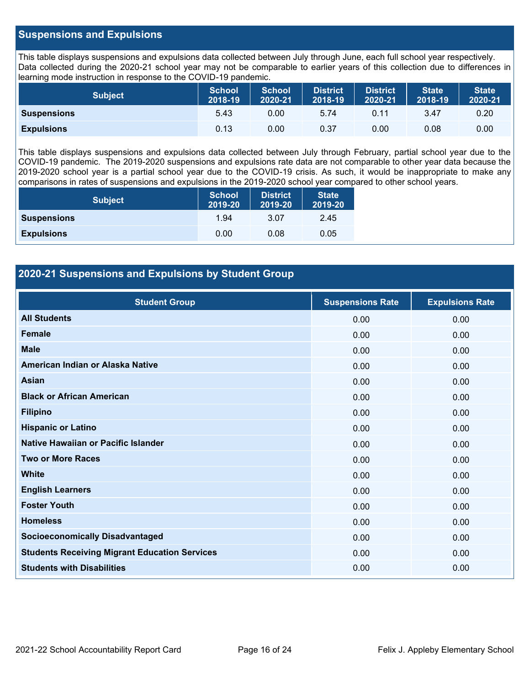## **Suspensions and Expulsions**

This table displays suspensions and expulsions data collected between July through June, each full school year respectively. Data collected during the 2020-21 school year may not be comparable to earlier years of this collection due to differences in learning mode instruction in response to the COVID-19 pandemic.

| <b>Subject</b>     | <b>School</b><br>2018-19 | <b>School</b><br>2020-21 | <b>District</b><br>2018-19 | <b>District</b><br>2020-21 | <b>State</b><br>2018-19 | <b>State</b><br>2020-21 |
|--------------------|--------------------------|--------------------------|----------------------------|----------------------------|-------------------------|-------------------------|
| <b>Suspensions</b> | 5.43                     | 0.00                     | 5.74                       | 0.11                       | 3.47                    | 0.20                    |
| <b>Expulsions</b>  | 0.13                     | 0.00                     | 0.37                       | 0.00                       | 0.08                    | 0.00                    |

This table displays suspensions and expulsions data collected between July through February, partial school year due to the COVID-19 pandemic. The 2019-2020 suspensions and expulsions rate data are not comparable to other year data because the 2019-2020 school year is a partial school year due to the COVID-19 crisis. As such, it would be inappropriate to make any comparisons in rates of suspensions and expulsions in the 2019-2020 school year compared to other school years.

| <b>Subject</b>     | <b>School</b><br>2019-20 | <b>District</b><br>2019-20 | <b>State</b><br>2019-20 |
|--------------------|--------------------------|----------------------------|-------------------------|
| <b>Suspensions</b> | 1.94                     | 3.07                       | 2.45                    |
| <b>Expulsions</b>  | 0.00                     | 0.08                       | 0.05                    |

## **2020-21 Suspensions and Expulsions by Student Group**

| <b>Student Group</b>                                 | <b>Suspensions Rate</b> | <b>Expulsions Rate</b> |
|------------------------------------------------------|-------------------------|------------------------|
| <b>All Students</b>                                  | 0.00                    | 0.00                   |
| <b>Female</b>                                        | 0.00                    | 0.00                   |
| <b>Male</b>                                          | 0.00                    | 0.00                   |
| American Indian or Alaska Native                     | 0.00                    | 0.00                   |
| <b>Asian</b>                                         | 0.00                    | 0.00                   |
| <b>Black or African American</b>                     | 0.00                    | 0.00                   |
| <b>Filipino</b>                                      | 0.00                    | 0.00                   |
| <b>Hispanic or Latino</b>                            | 0.00                    | 0.00                   |
| Native Hawaiian or Pacific Islander                  | 0.00                    | 0.00                   |
| <b>Two or More Races</b>                             | 0.00                    | 0.00                   |
| <b>White</b>                                         | 0.00                    | 0.00                   |
| <b>English Learners</b>                              | 0.00                    | 0.00                   |
| <b>Foster Youth</b>                                  | 0.00                    | 0.00                   |
| <b>Homeless</b>                                      | 0.00                    | 0.00                   |
| <b>Socioeconomically Disadvantaged</b>               | 0.00                    | 0.00                   |
| <b>Students Receiving Migrant Education Services</b> | 0.00                    | 0.00                   |
| <b>Students with Disabilities</b>                    | 0.00                    | 0.00                   |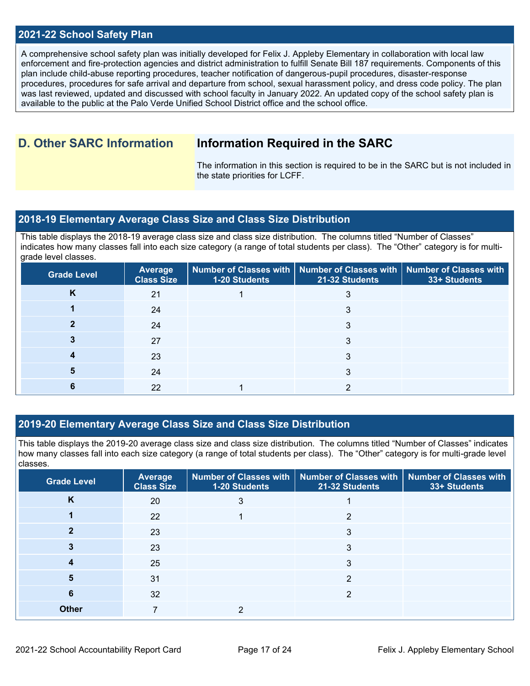## **2021-22 School Safety Plan**

A comprehensive school safety plan was initially developed for Felix J. Appleby Elementary in collaboration with local law enforcement and fire-protection agencies and district administration to fulfill Senate Bill 187 requirements. Components of this plan include child-abuse reporting procedures, teacher notification of dangerous-pupil procedures, disaster-response procedures, procedures for safe arrival and departure from school, sexual harassment policy, and dress code policy. The plan was last reviewed, updated and discussed with school faculty in January 2022. An updated copy of the school safety plan is available to the public at the Palo Verde Unified School District office and the school office.

## **D. Other SARC Information Information Required in the SARC**

The information in this section is required to be in the SARC but is not included in the state priorities for LCFF.

## **2018-19 Elementary Average Class Size and Class Size Distribution**

This table displays the 2018-19 average class size and class size distribution. The columns titled "Number of Classes" indicates how many classes fall into each size category (a range of total students per class). The "Other" category is for multigrade level classes.

| <b>Grade Level</b> | <b>Average</b><br><b>Class Size</b> | 1-20 Students | Number of Classes with   Number of Classes with   Number of Classes with<br>21-32 Students | 33+ Students |
|--------------------|-------------------------------------|---------------|--------------------------------------------------------------------------------------------|--------------|
| Κ                  | 21                                  |               |                                                                                            |              |
|                    | 24                                  |               |                                                                                            |              |
|                    | 24                                  |               | 3                                                                                          |              |
|                    | 27                                  |               | 3                                                                                          |              |
|                    | 23                                  |               |                                                                                            |              |
|                    | 24                                  |               | 3                                                                                          |              |
|                    | 22                                  |               |                                                                                            |              |

## **2019-20 Elementary Average Class Size and Class Size Distribution**

This table displays the 2019-20 average class size and class size distribution. The columns titled "Number of Classes" indicates how many classes fall into each size category (a range of total students per class). The "Other" category is for multi-grade level classes.

| <b>Grade Level</b> | <b>Average</b><br><b>Class Size</b> | 1-20 Students | Number of Classes with   Number of Classes with  <br>21-32 Students | Number of Classes with<br>33+ Students |
|--------------------|-------------------------------------|---------------|---------------------------------------------------------------------|----------------------------------------|
| K                  | 20                                  | 3             |                                                                     |                                        |
|                    | 22                                  |               | っ                                                                   |                                        |
|                    | 23                                  |               | 3                                                                   |                                        |
|                    | 23                                  |               | 3                                                                   |                                        |
| 4                  | 25                                  |               | 3                                                                   |                                        |
| 5                  | 31                                  |               | $\overline{2}$                                                      |                                        |
| 6                  | 32                                  |               | 2                                                                   |                                        |
| <b>Other</b>       |                                     | 2             |                                                                     |                                        |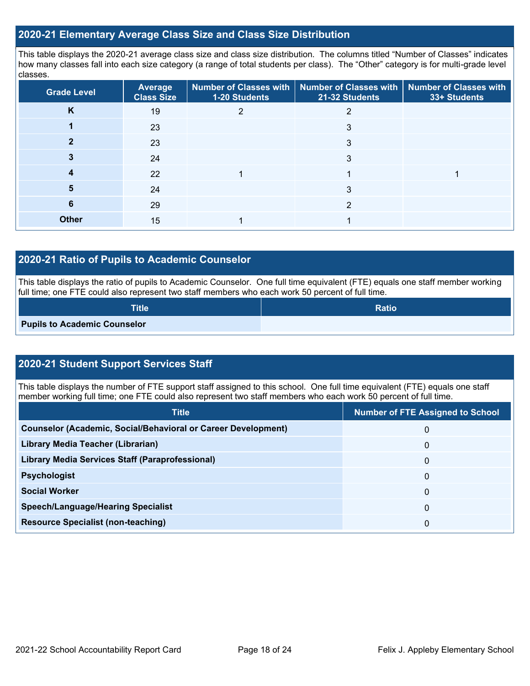## **2020-21 Elementary Average Class Size and Class Size Distribution**

This table displays the 2020-21 average class size and class size distribution. The columns titled "Number of Classes" indicates how many classes fall into each size category (a range of total students per class). The "Other" category is for multi-grade level classes.

| <b>Grade Level</b> | Average<br><b>Class Size</b> | 1-20 Students | Number of Classes with   Number of Classes with<br>21-32 Students | <b>Number of Classes with</b><br>33+ Students |
|--------------------|------------------------------|---------------|-------------------------------------------------------------------|-----------------------------------------------|
| K                  | 19                           |               |                                                                   |                                               |
|                    | 23                           |               | 3                                                                 |                                               |
|                    | 23                           |               | 3                                                                 |                                               |
|                    | 24                           |               | 3                                                                 |                                               |
| 4                  | 22                           |               |                                                                   |                                               |
| 5                  | 24                           |               | 3                                                                 |                                               |
| 6                  | 29                           |               | 2                                                                 |                                               |
| <b>Other</b>       | 15                           |               |                                                                   |                                               |

## **2020-21 Ratio of Pupils to Academic Counselor**

This table displays the ratio of pupils to Academic Counselor. One full time equivalent (FTE) equals one staff member working full time; one FTE could also represent two staff members who each work 50 percent of full time.

| <b>Title</b>                        | <b>Ratio</b> |
|-------------------------------------|--------------|
| <b>Pupils to Academic Counselor</b> |              |

## **2020-21 Student Support Services Staff**

This table displays the number of FTE support staff assigned to this school. One full time equivalent (FTE) equals one staff member working full time; one FTE could also represent two staff members who each work 50 percent of full time.

| <b>Title</b>                                                         | <b>Number of FTE Assigned to School</b> |
|----------------------------------------------------------------------|-----------------------------------------|
| <b>Counselor (Academic, Social/Behavioral or Career Development)</b> | 0                                       |
| Library Media Teacher (Librarian)                                    | 0                                       |
| Library Media Services Staff (Paraprofessional)                      | 0                                       |
| <b>Psychologist</b>                                                  | 0                                       |
| <b>Social Worker</b>                                                 | 0                                       |
| <b>Speech/Language/Hearing Specialist</b>                            | 0                                       |
| <b>Resource Specialist (non-teaching)</b>                            | 0                                       |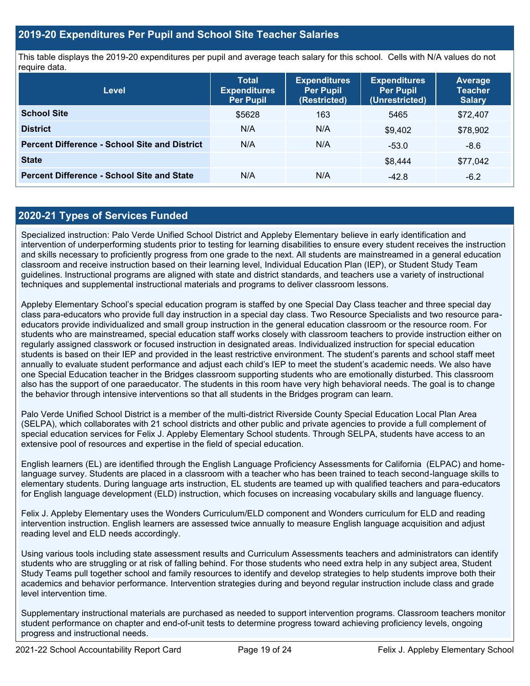## **2019-20 Expenditures Per Pupil and School Site Teacher Salaries**

This table displays the 2019-20 expenditures per pupil and average teach salary for this school. Cells with N/A values do not require data.

| <b>Level</b>                                         | <b>Total</b><br><b>Expenditures</b><br><b>Per Pupil</b> | <b>Expenditures</b><br><b>Per Pupil</b><br>(Restricted) | <b>Expenditures</b><br><b>Per Pupil</b><br>(Unrestricted) | Average<br><b>Teacher</b><br><b>Salary</b> |
|------------------------------------------------------|---------------------------------------------------------|---------------------------------------------------------|-----------------------------------------------------------|--------------------------------------------|
| <b>School Site</b>                                   | \$5628                                                  | 163                                                     | 5465                                                      | \$72,407                                   |
| <b>District</b>                                      | N/A                                                     | N/A                                                     | \$9.402                                                   | \$78,902                                   |
| <b>Percent Difference - School Site and District</b> | N/A                                                     | N/A                                                     | $-53.0$                                                   | $-8.6$                                     |
| <b>State</b>                                         |                                                         |                                                         | \$8,444                                                   | \$77,042                                   |
| <b>Percent Difference - School Site and State</b>    | N/A                                                     | N/A                                                     | $-42.8$                                                   | $-6.2$                                     |

## **2020-21 Types of Services Funded**

Specialized instruction: Palo Verde Unified School District and Appleby Elementary believe in early identification and intervention of underperforming students prior to testing for learning disabilities to ensure every student receives the instruction and skills necessary to proficiently progress from one grade to the next. All students are mainstreamed in a general education classroom and receive instruction based on their learning level, Individual Education Plan (IEP), or Student Study Team guidelines. Instructional programs are aligned with state and district standards, and teachers use a variety of instructional techniques and supplemental instructional materials and programs to deliver classroom lessons.

Appleby Elementary School's special education program is staffed by one Special Day Class teacher and three special day class para-educators who provide full day instruction in a special day class. Two Resource Specialists and two resource paraeducators provide individualized and small group instruction in the general education classroom or the resource room. For students who are mainstreamed, special education staff works closely with classroom teachers to provide instruction either on regularly assigned classwork or focused instruction in designated areas. Individualized instruction for special education students is based on their IEP and provided in the least restrictive environment. The student's parents and school staff meet annually to evaluate student performance and adjust each child's IEP to meet the student's academic needs. We also have one Special Education teacher in the Bridges classroom supporting students who are emotionally disturbed. This classroom also has the support of one paraeducator. The students in this room have very high behavioral needs. The goal is to change the behavior through intensive interventions so that all students in the Bridges program can learn.

Palo Verde Unified School District is a member of the multi-district Riverside County Special Education Local Plan Area (SELPA), which collaborates with 21 school districts and other public and private agencies to provide a full complement of special education services for Felix J. Appleby Elementary School students. Through SELPA, students have access to an extensive pool of resources and expertise in the field of special education.

English learners (EL) are identified through the English Language Proficiency Assessments for California (ELPAC) and homelanguage survey. Students are placed in a classroom with a teacher who has been trained to teach second-language skills to elementary students. During language arts instruction, EL students are teamed up with qualified teachers and para-educators for English language development (ELD) instruction, which focuses on increasing vocabulary skills and language fluency.

Felix J. Appleby Elementary uses the Wonders Curriculum/ELD component and Wonders curriculum for ELD and reading intervention instruction. English learners are assessed twice annually to measure English language acquisition and adjust reading level and ELD needs accordingly.

Using various tools including state assessment results and Curriculum Assessments teachers and administrators can identify students who are struggling or at risk of falling behind. For those students who need extra help in any subject area, Student Study Teams pull together school and family resources to identify and develop strategies to help students improve both their academics and behavior performance. Intervention strategies during and beyond regular instruction include class and grade level intervention time.

Supplementary instructional materials are purchased as needed to support intervention programs. Classroom teachers monitor student performance on chapter and end-of-unit tests to determine progress toward achieving proficiency levels, ongoing progress and instructional needs.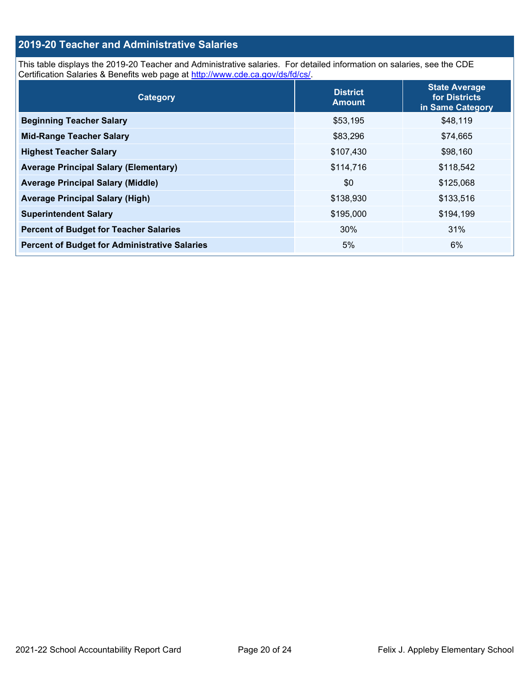## **2019-20 Teacher and Administrative Salaries**

This table displays the 2019-20 Teacher and Administrative salaries. For detailed information on salaries, see the CDE Certification Salaries & Benefits web page at [http://www.cde.ca.gov/ds/fd/cs/.](http://www.cde.ca.gov/ds/fd/cs/)

| <b>Category</b>                                      | <b>District</b><br><b>Amount</b> | <b>State Average</b><br>for Districts<br>in Same Category |
|------------------------------------------------------|----------------------------------|-----------------------------------------------------------|
| <b>Beginning Teacher Salary</b>                      | \$53,195                         | \$48,119                                                  |
| <b>Mid-Range Teacher Salary</b>                      | \$83,296                         | \$74,665                                                  |
| <b>Highest Teacher Salary</b>                        | \$107,430                        | \$98,160                                                  |
| <b>Average Principal Salary (Elementary)</b>         | \$114,716                        | \$118,542                                                 |
| <b>Average Principal Salary (Middle)</b>             | \$0                              | \$125,068                                                 |
| <b>Average Principal Salary (High)</b>               | \$138,930                        | \$133,516                                                 |
| <b>Superintendent Salary</b>                         | \$195,000                        | \$194,199                                                 |
| <b>Percent of Budget for Teacher Salaries</b>        | 30%                              | 31%                                                       |
| <b>Percent of Budget for Administrative Salaries</b> | 5%                               | 6%                                                        |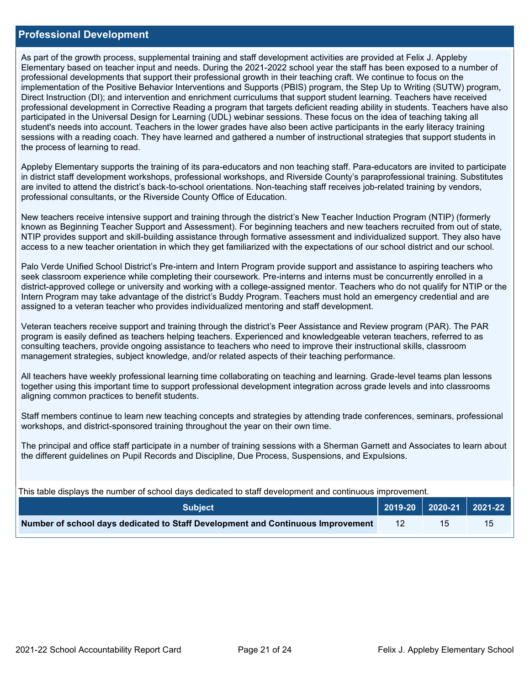### **Professional Development**

As part of the growth process, supplemental training and staff development activities are provided at Felix J. Appleby Elementary based on teacher input and needs. During the 2021-2022 school year the staff has been exposed to a number of professional developments that support their professional growth in their teaching craft. We continue to focus on the implementation of the Positive Behavior Interventions and Supports (PBIS) program, the Step Up to Writing (SUTW) program, Direct Instruction (DI); and intervention and enrichment curriculums that support student learning. Teachers have received professional development in Corrective Reading a program that targets deficient reading ability in students. Teachers have also participated in the Universal Design for Learning (UDL) webinar sessions. These focus on the idea of teaching taking all student's needs into account. Teachers in the lower grades have also been active participants in the early literacy training sessions with a reading coach. They have learned and gathered a number of instructional strategies that support students in the process of learning to read.

Appleby Elementary supports the training of its para-educators and non teaching staff. Para-educators are invited to participate in district staff development workshops, professional workshops, and Riverside County's paraprofessional training. Substitutes are invited to attend the district's back-to-school orientations. Non-teaching staff receives job-related training by vendors, professional consultants, or the Riverside County Office of Education.

New teachers receive intensive support and training through the district's New Teacher Induction Program (NTIP) (formerly known as Beginning Teacher Support and Assessment). For beginning teachers and new teachers recruited from out of state, NTIP provides support and skill-building assistance through formative assessment and individualized support. They also have access to a new teacher orientation in which they get familiarized with the expectations of our school district and our school.

Palo Verde Unified School District's Pre-intern and Intern Program provide support and assistance to aspiring teachers who seek classroom experience while completing their coursework. Pre-interns and interns must be concurrently enrolled in a district-approved college or university and working with a college-assigned mentor. Teachers who do not qualify for NTIP or the Intern Program may take advantage of the district's Buddy Program. Teachers must hold an emergency credential and are assigned to a veteran teacher who provides individualized mentoring and staff development.

Veteran teachers receive support and training through the district's Peer Assistance and Review program (PAR). The PAR program is easily defined as teachers helping teachers. Experienced and knowledgeable veteran teachers, referred to as consulting teachers, provide ongoing assistance to teachers who need to improve their instructional skills, classroom management strategies, subject knowledge, and/or related aspects of their teaching performance.

All teachers have weekly professional learning time collaborating on teaching and learning. Grade-level teams plan lessons together using this important time to support professional development integration across grade levels and into classrooms aligning common practices to benefit students.

Staff members continue to learn new teaching concepts and strategies by attending trade conferences, seminars, professional workshops, and district-sponsored training throughout the year on their own time.

The principal and office staff participate in a number of training sessions with a Sherman Garnett and Associates to learn about the different guidelines on Pupil Records and Discipline, Due Process, Suspensions, and Expulsions.

This table displays the number of school days dedicated to staff development and continuous improvement.

| <b>Subject</b>                                                                  |  | 2019-20   2020-21   2021-22 |
|---------------------------------------------------------------------------------|--|-----------------------------|
| Number of school days dedicated to Staff Development and Continuous Improvement |  | 15                          |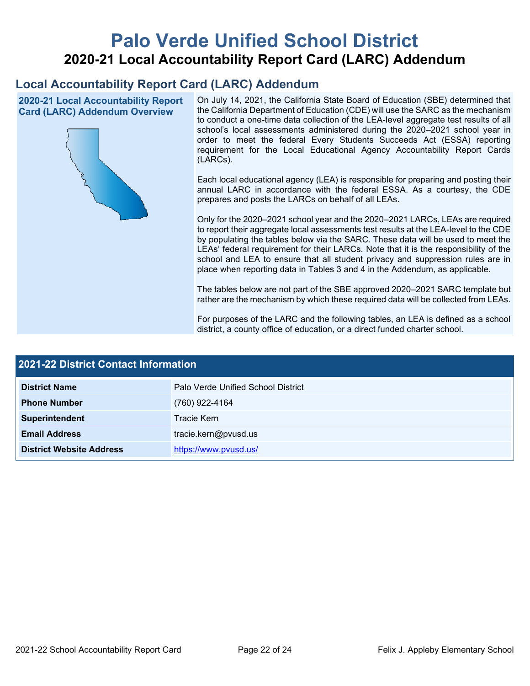# **Palo Verde Unified School District 2020-21 Local Accountability Report Card (LARC) Addendum**

## **Local Accountability Report Card (LARC) Addendum**

**2020-21 Local Accountability Report Card (LARC) Addendum Overview**



On July 14, 2021, the California State Board of Education (SBE) determined that the California Department of Education (CDE) will use the SARC as the mechanism to conduct a one-time data collection of the LEA-level aggregate test results of all school's local assessments administered during the 2020–2021 school year in order to meet the federal Every Students Succeeds Act (ESSA) reporting requirement for the Local Educational Agency Accountability Report Cards (LARCs).

Each local educational agency (LEA) is responsible for preparing and posting their annual LARC in accordance with the federal ESSA. As a courtesy, the CDE prepares and posts the LARCs on behalf of all LEAs.

Only for the 2020–2021 school year and the 2020–2021 LARCs, LEAs are required to report their aggregate local assessments test results at the LEA-level to the CDE by populating the tables below via the SARC. These data will be used to meet the LEAs' federal requirement for their LARCs. Note that it is the responsibility of the school and LEA to ensure that all student privacy and suppression rules are in place when reporting data in Tables 3 and 4 in the Addendum, as applicable.

The tables below are not part of the SBE approved 2020–2021 SARC template but rather are the mechanism by which these required data will be collected from LEAs.

For purposes of the LARC and the following tables, an LEA is defined as a school district, a county office of education, or a direct funded charter school.

| <b>2021-22 District Contact Information</b> |                                    |  |  |
|---------------------------------------------|------------------------------------|--|--|
| <b>District Name</b>                        | Palo Verde Unified School District |  |  |
| <b>Phone Number</b>                         | (760) 922-4164                     |  |  |
| Superintendent                              | Tracie Kern                        |  |  |
| <b>Email Address</b>                        | tracie.kern@pvusd.us               |  |  |
| <b>District Website Address</b>             | https://www.pvusd.us/              |  |  |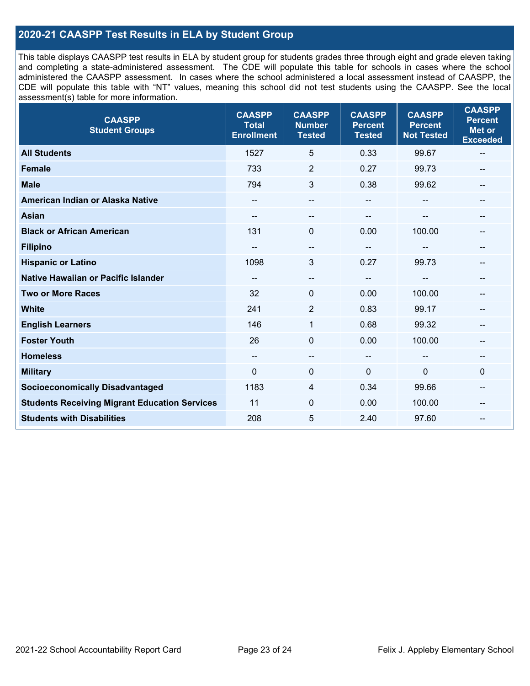## **2020-21 CAASPP Test Results in ELA by Student Group**

This table displays CAASPP test results in ELA by student group for students grades three through eight and grade eleven taking and completing a state-administered assessment. The CDE will populate this table for schools in cases where the school administered the CAASPP assessment. In cases where the school administered a local assessment instead of CAASPP, the CDE will populate this table with "NT" values, meaning this school did not test students using the CAASPP. See the local assessment(s) table for more information.

| <b>CAASPP</b><br><b>Student Groups</b>               | <b>CAASPP</b><br><b>Total</b><br><b>Enrollment</b> | <b>CAASPP</b><br><b>Number</b><br><b>Tested</b> | <b>CAASPP</b><br><b>Percent</b><br><b>Tested</b> | <b>CAASPP</b><br><b>Percent</b><br><b>Not Tested</b> | <b>CAASPP</b><br><b>Percent</b><br><b>Met or</b><br><b>Exceeded</b> |
|------------------------------------------------------|----------------------------------------------------|-------------------------------------------------|--------------------------------------------------|------------------------------------------------------|---------------------------------------------------------------------|
| <b>All Students</b>                                  | 1527                                               | 5                                               | 0.33                                             | 99.67                                                | $\qquad \qquad -$                                                   |
| Female                                               | 733                                                | $\overline{2}$                                  | 0.27                                             | 99.73                                                |                                                                     |
| <b>Male</b>                                          | 794                                                | 3                                               | 0.38                                             | 99.62                                                | --                                                                  |
| American Indian or Alaska Native                     | $- -$                                              | $-$                                             | $\sim$                                           | --                                                   | --                                                                  |
| <b>Asian</b>                                         |                                                    | --                                              |                                                  |                                                      |                                                                     |
| <b>Black or African American</b>                     | 131                                                | $\Omega$                                        | 0.00                                             | 100.00                                               | --                                                                  |
| <b>Filipino</b>                                      |                                                    | --                                              | $-$                                              |                                                      |                                                                     |
| <b>Hispanic or Latino</b>                            | 1098                                               | 3                                               | 0.27                                             | 99.73                                                | --                                                                  |
| <b>Native Hawaiian or Pacific Islander</b>           | --                                                 | $\qquad \qquad -$                               | --                                               | --                                                   | --                                                                  |
| <b>Two or More Races</b>                             | 32                                                 | 0                                               | 0.00                                             | 100.00                                               |                                                                     |
| <b>White</b>                                         | 241                                                | $\overline{2}$                                  | 0.83                                             | 99.17                                                | --                                                                  |
| <b>English Learners</b>                              | 146                                                | $\mathbf{1}$                                    | 0.68                                             | 99.32                                                |                                                                     |
| <b>Foster Youth</b>                                  | 26                                                 | 0                                               | 0.00                                             | 100.00                                               | --                                                                  |
| <b>Homeless</b>                                      | --                                                 | --                                              | $\sim$                                           |                                                      | --                                                                  |
| <b>Military</b>                                      | $\Omega$                                           | 0                                               | 0                                                | 0                                                    | $\mathbf 0$                                                         |
| <b>Socioeconomically Disadvantaged</b>               | 1183                                               | 4                                               | 0.34                                             | 99.66                                                | --                                                                  |
| <b>Students Receiving Migrant Education Services</b> | 11                                                 | 0                                               | 0.00                                             | 100.00                                               |                                                                     |
| <b>Students with Disabilities</b>                    | 208                                                | 5                                               | 2.40                                             | 97.60                                                |                                                                     |